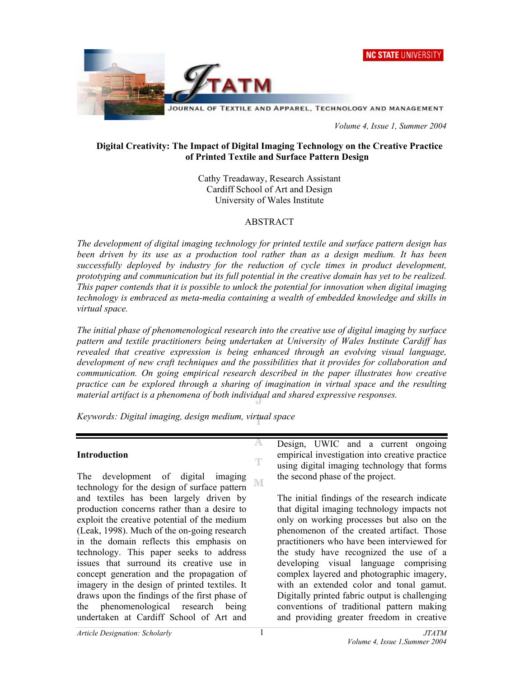



 *Volume 4, Issue 1, Summer 2004* 

### **Digital Creativity: The Impact of Digital Imaging Technology on the Creative Practice of Printed Textile and Surface Pattern Design**

Cathy Treadaway, Research Assistant Cardiff School of Art and Design University of Wales Institute

#### ABSTRACT

*The development of digital imaging technology for printed textile and surface pattern design has been driven by its use as a production tool rather than as a design medium. It has been successfully deployed by industry for the reduction of cycle times in product development, prototyping and communication but its full potential in the creative domain has yet to be realized. This paper contends that it is possible to unlock the potential for innovation when digital imaging technology is embraced as meta-media containing a wealth of embedded knowledge and skills in virtual space.* 

*The initial phase of phenomenological research into the creative use of digital imaging by surface pattern and textile practitioners being undertaken at University of Wales Institute Cardiff has revealed that creative expression is being enhanced through an evolving visual language, development of new craft techniques and the possibilities that it provides for collaboration and communication. On going empirical research described in the paper illustrates how creative practice can be explored through a sharing of imagination in virtual space and the resulting material artifact is a phenomena of both individual and shared expressive responses.*

 $\mathbb T$ 

*Keywords: Digital imaging, design medium, virtual space* 

#### **Introduction**

The development of digital imaging M technology for the design of surface pattern and textiles has been largely driven by production concerns rather than a desire to exploit the creative potential of the medium (Leak, 1998). Much of the on-going research in the domain reflects this emphasis on technology. This paper seeks to address issues that surround its creative use in concept generation and the propagation of imagery in the design of printed textiles. It draws upon the findings of the first phase of the phenomenological research being undertaken at Cardiff School of Art and

Design, UWIC and a current ongoing empirical investigation into creative practice using digital imaging technology that forms the second phase of the project.

The initial findings of the research indicate that digital imaging technology impacts not only on working processes but also on the phenomenon of the created artifact. Those practitioners who have been interviewed for the study have recognized the use of a developing visual language comprising complex layered and photographic imagery, with an extended color and tonal gamut. Digitally printed fabric output is challenging conventions of traditional pattern making and providing greater freedom in creative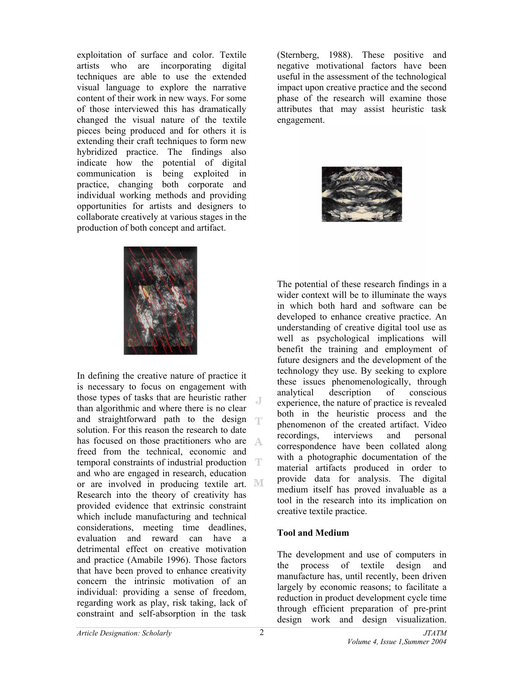exploitation of surface and color. Textile artists who are incorporating digital techniques are able to use the extended visual language to explore the narrative content of their work in new ways. For some of those interviewed this has dramatically changed the visual nature of the textile pieces being produced and for others it is extending their craft techniques to form new hybridized practice. The findings also indicate how the potential of digital communication is being exploited in practice, changing both corporate and individual working methods and providing opportunities for artists and designers to collaborate creatively at various stages in the production of both concept and artifact.



In defining the creative nature of practice it is necessary to focus on engagement with those types of tasks that are heuristic rather than algorithmic and where there is no clear and straightforward path to the design solution. For this reason the research to date has focused on those practitioners who are A freed from the technical, economic and temporal constraints of industrial production and who are engaged in research, education or are involved in producing textile art. Research into the theory of creativity has provided evidence that extrinsic constraint which include manufacturing and technical considerations, meeting time deadlines, evaluation and reward can have a detrimental effect on creative motivation and practice (Amabile 1996). Those factors that have been proved to enhance creativity concern the intrinsic motivation of an individual: providing a sense of freedom, regarding work as play, risk taking, lack of constraint and self-absorption in the task

(Sternberg, 1988). These positive and negative motivational factors have been useful in the assessment of the technological impact upon creative practice and the second phase of the research will examine those attributes that may assist heuristic task engagement.



The potential of these research findings in a wider context will be to illuminate the ways in which both hard and software can be developed to enhance creative practice. An understanding of creative digital tool use as well as psychological implications will benefit the training and employment of future designers and the development of the technology they use. By seeking to explore these issues phenomenologically, through analytical description of conscious experience, the nature of practice is revealed both in the heuristic process and the phenomenon of the created artifact. Video recordings, interviews and personal correspondence have been collated along with a photographic documentation of the material artifacts produced in order to provide data for analysis. The digital medium itself has proved invaluable as a tool in the research into its implication on creative textile practice.

## **Tool and Medium**

The development and use of computers in the process of textile design and manufacture has, until recently, been driven largely by economic reasons; to facilitate a reduction in product development cycle time through efficient preparation of pre-print design work and design visualization.

J.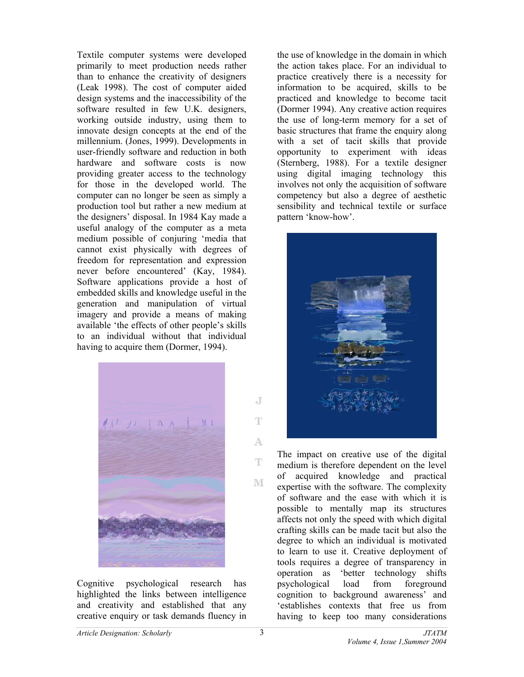Textile computer systems were developed primarily to meet production needs rather than to enhance the creativity of designers (Leak 1998). The cost of computer aided design systems and the inaccessibility of the software resulted in few U.K. designers, working outside industry, using them to innovate design concepts at the end of the millennium. (Jones, 1999). Developments in user-friendly software and reduction in both hardware and software costs is now providing greater access to the technology for those in the developed world. The computer can no longer be seen as simply a production tool but rather a new medium at the designers' disposal. In 1984 Kay made a useful analogy of the computer as a meta medium possible of conjuring 'media that cannot exist physically with degrees of freedom for representation and expression never before encountered' (Kay, 1984). Software applications provide a host of embedded skills and knowledge useful in the generation and manipulation of virtual imagery and provide a means of making available 'the effects of other people's skills to an individual without that individual having to acquire them (Dormer, 1994).



Cognitive psychological research has highlighted the links between intelligence and creativity and established that any creative enquiry or task demands fluency in the use of knowledge in the domain in which the action takes place. For an individual to practice creatively there is a necessity for information to be acquired, skills to be practiced and knowledge to become tacit (Dormer 1994). Any creative action requires the use of long-term memory for a set of basic structures that frame the enquiry along with a set of tacit skills that provide opportunity to experiment with ideas (Sternberg, 1988). For a textile designer using digital imaging technology this involves not only the acquisition of software competency but also a degree of aesthetic sensibility and technical textile or surface pattern 'know-how'.



The impact on creative use of the digital medium is therefore dependent on the level of acquired knowledge and practical expertise with the software. The complexity of software and the ease with which it is possible to mentally map its structures affects not only the speed with which digital crafting skills can be made tacit but also the degree to which an individual is motivated to learn to use it. Creative deployment of tools requires a degree of transparency in operation as 'better technology shifts psychological load from foreground cognition to background awareness' and 'establishes contexts that free us from having to keep too many considerations

 $\overline{d}$ 

T

A.

 $\mathbb T$ 

M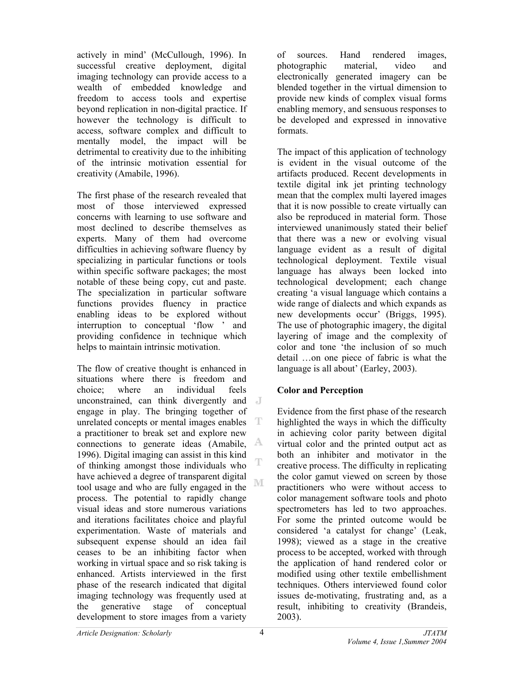actively in mind' (McCullough, 1996). In successful creative deployment, digital imaging technology can provide access to a wealth of embedded knowledge and freedom to access tools and expertise beyond replication in non-digital practice. If however the technology is difficult to access, software complex and difficult to mentally model, the impact will be detrimental to creativity due to the inhibiting of the intrinsic motivation essential for creativity (Amabile, 1996).

The first phase of the research revealed that most of those interviewed expressed concerns with learning to use software and most declined to describe themselves as experts. Many of them had overcome difficulties in achieving software fluency by specializing in particular functions or tools within specific software packages; the most notable of these being copy, cut and paste. The specialization in particular software functions provides fluency in practice enabling ideas to be explored without interruption to conceptual 'flow ' and providing confidence in technique which helps to maintain intrinsic motivation.

The flow of creative thought is enhanced in situations where there is freedom and choice; where an individual feels unconstrained, can think divergently and engage in play. The bringing together of unrelated concepts or mental images enables T a practitioner to break set and explore new connections to generate ideas (Amabile, A 1996). Digital imaging can assist in this kind T of thinking amongst those individuals who have achieved a degree of transparent digital M tool usage and who are fully engaged in the process. The potential to rapidly change visual ideas and store numerous variations and iterations facilitates choice and playful experimentation. Waste of materials and subsequent expense should an idea fail ceases to be an inhibiting factor when working in virtual space and so risk taking is enhanced. Artists interviewed in the first phase of the research indicated that digital imaging technology was frequently used at the generative stage of conceptual development to store images from a variety

of sources. Hand rendered images, photographic material, video and electronically generated imagery can be blended together in the virtual dimension to provide new kinds of complex visual forms enabling memory, and sensuous responses to be developed and expressed in innovative formats.

The impact of this application of technology is evident in the visual outcome of the artifacts produced. Recent developments in textile digital ink jet printing technology mean that the complex multi layered images that it is now possible to create virtually can also be reproduced in material form. Those interviewed unanimously stated their belief that there was a new or evolving visual language evident as a result of digital technological deployment. Textile visual language has always been locked into technological development; each change creating 'a visual language which contains a wide range of dialects and which expands as new developments occur' (Briggs, 1995). The use of photographic imagery, the digital layering of image and the complexity of color and tone 'the inclusion of so much detail …on one piece of fabric is what the language is all about' (Earley, 2003).

# **Color and Perception**

Evidence from the first phase of the research highlighted the ways in which the difficulty in achieving color parity between digital virtual color and the printed output act as both an inhibiter and motivator in the creative process. The difficulty in replicating the color gamut viewed on screen by those practitioners who were without access to color management software tools and photo spectrometers has led to two approaches. For some the printed outcome would be considered 'a catalyst for change' (Leak, 1998); viewed as a stage in the creative process to be accepted, worked with through the application of hand rendered color or modified using other textile embellishment techniques. Others interviewed found color issues de-motivating, frustrating and, as a result, inhibiting to creativity (Brandeis, 2003).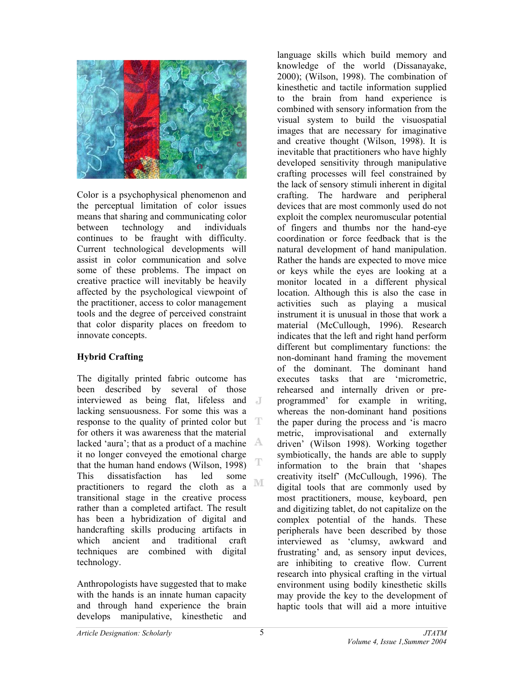

Color is a psychophysical phenomenon and the perceptual limitation of color issues means that sharing and communicating color between technology and individuals continues to be fraught with difficulty. Current technological developments will assist in color communication and solve some of these problems. The impact on creative practice will inevitably be heavily affected by the psychological viewpoint of the practitioner, access to color management tools and the degree of perceived constraint that color disparity places on freedom to innovate concepts.

# **Hybrid Crafting**

The digitally printed fabric outcome has been described by several of those interviewed as being flat, lifeless and lacking sensuousness. For some this was a response to the quality of printed color but T for others it was awareness that the material lacked 'aura'; that as a product of a machine  $\mathbb{A}$ it no longer conveyed the emotional charge that the human hand endows (Wilson, 1998) This dissatisfaction has led some  $\mathbb{M}$ practitioners to regard the cloth as a transitional stage in the creative process rather than a completed artifact. The result has been a hybridization of digital and handcrafting skills producing artifacts in which ancient and traditional craft techniques are combined with digital technology.

Anthropologists have suggested that to make with the hands is an innate human capacity and through hand experience the brain develops manipulative, kinesthetic and

language skills which build memory and knowledge of the world (Dissanayake, 2000); (Wilson, 1998). The combination of kinesthetic and tactile information supplied to the brain from hand experience is combined with sensory information from the visual system to build the visuospatial images that are necessary for imaginative and creative thought (Wilson, 1998). It is inevitable that practitioners who have highly developed sensitivity through manipulative crafting processes will feel constrained by the lack of sensory stimuli inherent in digital crafting. The hardware and peripheral devices that are most commonly used do not exploit the complex neuromuscular potential of fingers and thumbs nor the hand-eye coordination or force feedback that is the natural development of hand manipulation. Rather the hands are expected to move mice or keys while the eyes are looking at a monitor located in a different physical location. Although this is also the case in activities such as playing a musical instrument it is unusual in those that work a material (McCullough, 1996). Research indicates that the left and right hand perform different but complimentary functions: the non-dominant hand framing the movement of the dominant. The dominant hand executes tasks that are 'micrometric, rehearsed and internally driven or preprogrammed' for example in writing, whereas the non-dominant hand positions the paper during the process and 'is macro metric, improvisational and externally driven' (Wilson 1998). Working together symbiotically, the hands are able to supply information to the brain that 'shapes creativity itself' (McCullough, 1996). The digital tools that are commonly used by most practitioners, mouse, keyboard, pen and digitizing tablet, do not capitalize on the complex potential of the hands. These peripherals have been described by those interviewed as 'clumsy, awkward and frustrating' and, as sensory input devices, are inhibiting to creative flow. Current research into physical crafting in the virtual environment using bodily kinesthetic skills may provide the key to the development of haptic tools that will aid a more intuitive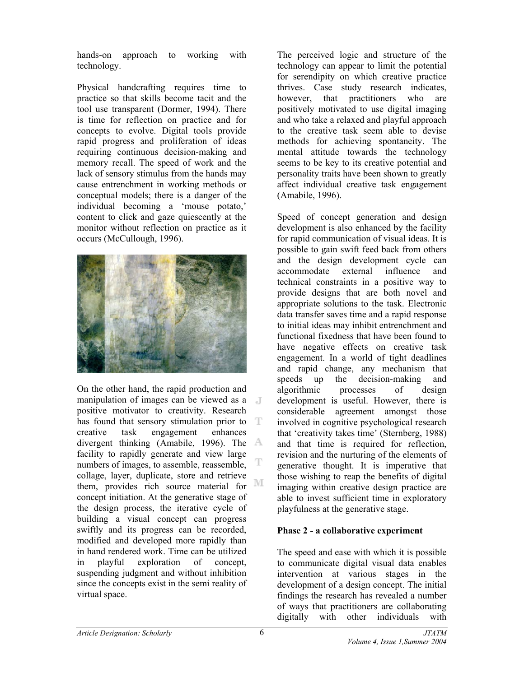hands-on approach to working with technology.

Physical handcrafting requires time to practice so that skills become tacit and the tool use transparent (Dormer, 1994). There is time for reflection on practice and for concepts to evolve. Digital tools provide rapid progress and proliferation of ideas requiring continuous decision-making and memory recall. The speed of work and the lack of sensory stimulus from the hands may cause entrenchment in working methods or conceptual models; there is a danger of the individual becoming a 'mouse potato,' content to click and gaze quiescently at the monitor without reflection on practice as it occurs (McCullough, 1996).



On the other hand, the rapid production and manipulation of images can be viewed as a positive motivator to creativity. Research has found that sensory stimulation prior to T creative task engagement enhances divergent thinking (Amabile, 1996). The facility to rapidly generate and view large numbers of images, to assemble, reassemble, collage, layer, duplicate, store and retrieve M them, provides rich source material for concept initiation. At the generative stage of the design process, the iterative cycle of building a visual concept can progress swiftly and its progress can be recorded, modified and developed more rapidly than in hand rendered work. Time can be utilized in playful exploration of concept, suspending judgment and without inhibition since the concepts exist in the semi reality of virtual space.

The perceived logic and structure of the technology can appear to limit the potential for serendipity on which creative practice thrives. Case study research indicates, however, that practitioners who are positively motivated to use digital imaging and who take a relaxed and playful approach to the creative task seem able to devise methods for achieving spontaneity. The mental attitude towards the technology seems to be key to its creative potential and personality traits have been shown to greatly affect individual creative task engagement (Amabile, 1996).

Speed of concept generation and design development is also enhanced by the facility for rapid communication of visual ideas. It is possible to gain swift feed back from others and the design development cycle can accommodate external influence and technical constraints in a positive way to provide designs that are both novel and appropriate solutions to the task. Electronic data transfer saves time and a rapid response to initial ideas may inhibit entrenchment and functional fixedness that have been found to have negative effects on creative task engagement. In a world of tight deadlines and rapid change, any mechanism that speeds up the decision-making and algorithmic processes of design development is useful. However, there is considerable agreement amongst those involved in cognitive psychological research that 'creativity takes time' (Sternberg, 1988) and that time is required for reflection, revision and the nurturing of the elements of generative thought. It is imperative that those wishing to reap the benefits of digital imaging within creative design practice are able to invest sufficient time in exploratory playfulness at the generative stage.

## **Phase 2 - a collaborative experiment**

The speed and ease with which it is possible to communicate digital visual data enables intervention at various stages in the development of a design concept. The initial findings the research has revealed a number of ways that practitioners are collaborating digitally with other individuals with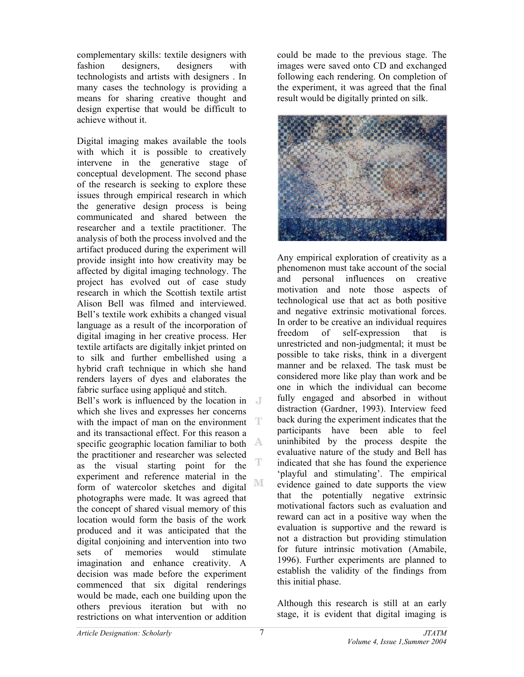complementary skills: textile designers with fashion designers, designers with technologists and artists with designers . In many cases the technology is providing a means for sharing creative thought and design expertise that would be difficult to achieve without it.

Digital imaging makes available the tools with which it is possible to creatively intervene in the generative stage of conceptual development. The second phase of the research is seeking to explore these issues through empirical research in which the generative design process is being communicated and shared between the researcher and a textile practitioner. The analysis of both the process involved and the artifact produced during the experiment will provide insight into how creativity may be affected by digital imaging technology. The project has evolved out of case study research in which the Scottish textile artist Alison Bell was filmed and interviewed. Bell's textile work exhibits a changed visual language as a result of the incorporation of digital imaging in her creative process. Her textile artifacts are digitally inkjet printed on to silk and further embellished using a hybrid craft technique in which she hand renders layers of dyes and elaborates the fabric surface using appliqué and stitch.

Bell's work is influenced by the location in which she lives and expresses her concerns T with the impact of man on the environment and its transactional effect. For this reason a specific geographic location familiar to both the practitioner and researcher was selected T as the visual starting point for the experiment and reference material in the M form of watercolor sketches and digital photographs were made. It was agreed that the concept of shared visual memory of this location would form the basis of the work produced and it was anticipated that the digital conjoining and intervention into two sets of memories would stimulate imagination and enhance creativity. A decision was made before the experiment commenced that six digital renderings would be made, each one building upon the others previous iteration but with no restrictions on what intervention or addition

could be made to the previous stage. The images were saved onto CD and exchanged following each rendering. On completion of the experiment, it was agreed that the final result would be digitally printed on silk.



Any empirical exploration of creativity as a phenomenon must take account of the social and personal influences on creative motivation and note those aspects of technological use that act as both positive and negative extrinsic motivational forces. In order to be creative an individual requires freedom of self-expression that is unrestricted and non-judgmental; it must be possible to take risks, think in a divergent manner and be relaxed. The task must be considered more like play than work and be one in which the individual can become fully engaged and absorbed in without distraction (Gardner, 1993). Interview feed back during the experiment indicates that the participants have been able to feel uninhibited by the process despite the evaluative nature of the study and Bell has indicated that she has found the experience 'playful and stimulating'. The empirical evidence gained to date supports the view that the potentially negative extrinsic motivational factors such as evaluation and reward can act in a positive way when the evaluation is supportive and the reward is not a distraction but providing stimulation for future intrinsic motivation (Amabile, 1996). Further experiments are planned to establish the validity of the findings from this initial phase.

Although this research is still at an early stage, it is evident that digital imaging is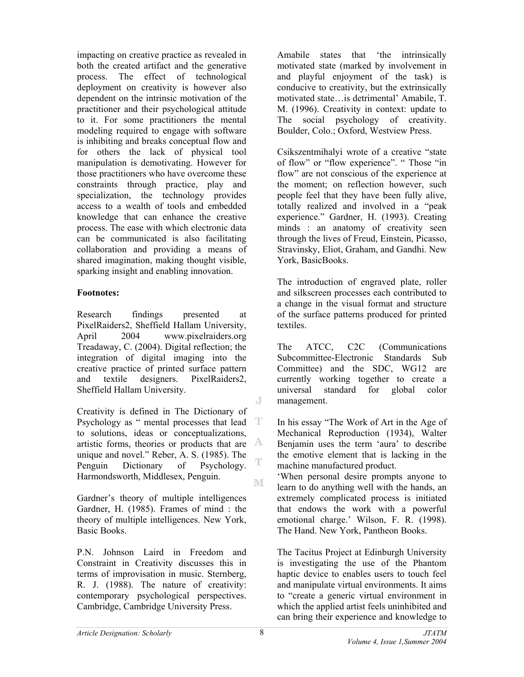impacting on creative practice as revealed in both the created artifact and the generative process. The effect of technological deployment on creativity is however also dependent on the intrinsic motivation of the practitioner and their psychological attitude to it. For some practitioners the mental modeling required to engage with software is inhibiting and breaks conceptual flow and for others the lack of physical tool manipulation is demotivating. However for those practitioners who have overcome these constraints through practice, play and specialization, the technology provides access to a wealth of tools and embedded knowledge that can enhance the creative process. The ease with which electronic data can be communicated is also facilitating collaboration and providing a means of shared imagination, making thought visible, sparking insight and enabling innovation.

### **Footnotes:**

Research findings presented at PixelRaiders2, Sheffield Hallam University, April 2004 www.pixelraiders.org Treadaway, C. (2004). Digital reflection; the integration of digital imaging into the creative practice of printed surface pattern and textile designers. PixelRaiders2, Sheffield Hallam University.

Creativity is defined in The Dictionary of Psychology as " mental processes that lead  $T$ to solutions, ideas or conceptualizations, artistic forms, theories or products that are  $A$ unique and novel." Reber, A. S. (1985). The T Penguin Dictionary of Psychology. Harmondsworth, Middlesex, Penguin. M

Gardner's theory of multiple intelligences Gardner, H. (1985). Frames of mind : the theory of multiple intelligences. New York, Basic Books.

P.N. Johnson Laird in Freedom and Constraint in Creativity discusses this in terms of improvisation in music. Sternberg, R. J. (1988). The nature of creativity: contemporary psychological perspectives. Cambridge, Cambridge University Press.

Amabile states that 'the intrinsically motivated state (marked by involvement in and playful enjoyment of the task) is conducive to creativity, but the extrinsically motivated state…is detrimental' Amabile, T. M. (1996). Creativity in context: update to The social psychology of creativity. Boulder, Colo.; Oxford, Westview Press.

Csikszentmihalyi wrote of a creative "state of flow" or "flow experience". " Those "in flow" are not conscious of the experience at the moment; on reflection however, such people feel that they have been fully alive, totally realized and involved in a "peak experience." Gardner, H. (1993). Creating minds : an anatomy of creativity seen through the lives of Freud, Einstein, Picasso, Stravinsky, Eliot, Graham, and Gandhi. New York, BasicBooks.

The introduction of engraved plate, roller and silkscreen processes each contributed to a change in the visual format and structure of the surface patterns produced for printed textiles.

The ATCC, C2C (Communications Subcommittee-Electronic Standards Sub Committee) and the SDC, WG12 are currently working together to create a universal standard for global color management.

In his essay "The Work of Art in the Age of Mechanical Reproduction (1934), Walter Benjamin uses the term 'aura' to describe the emotive element that is lacking in the machine manufactured product.

'When personal desire prompts anyone to learn to do anything well with the hands, an extremely complicated process is initiated that endows the work with a powerful emotional charge.' Wilson, F. R. (1998). The Hand. New York, Pantheon Books.

The Tacitus Project at Edinburgh University is investigating the use of the Phantom haptic device to enables users to touch feel and manipulate virtual environments. It aims to "create a generic virtual environment in which the applied artist feels uninhibited and can bring their experience and knowledge to

J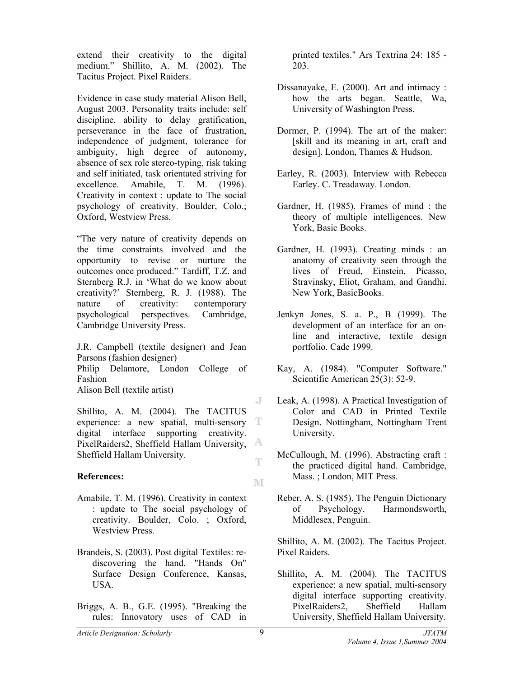extend their creativity to the digital medium." Shillito, A. M. (2002). The Tacitus Project. Pixel Raiders.

Evidence in case study material Alison Bell, August 2003. Personality traits include: self discipline, ability to delay gratification, perseverance in the face of frustration, independence of judgment, tolerance for ambiguity, high degree of autonomy, absence of sex role stereo-typing, risk taking and self initiated, task orientated striving for excellence. Amabile, T. M. (1996). Creativity in context : update to The social psychology of creativity. Boulder, Colo.; Oxford, Westview Press.

"The very nature of creativity depends on the time constraints involved and the opportunity to revise or nurture the outcomes once produced." Tardiff, T.Z. and Sternberg R.J. in 'What do we know about creativity?' Sternberg, R. J. (1988). The nature of creativity: contemporary psychological perspectives. Cambridge, Cambridge University Press.

J.R. Campbell (textile designer) and Jean Parsons (fashion designer) Philip Delamore, London College of Fashion

Alison Bell (textile artist)

Shillito, A. M. (2004). The TACITUS experience: a new spatial, multi-sensory T digital interface supporting creativity. PixelRaiders2, Sheffield Hallam University, A Sheffield Hallam University.  $\mathbb T$ 

## **References:**

- Amabile, T. M. (1996). Creativity in context : update to The social psychology of creativity. Boulder, Colo. ; Oxford, Westview Press.
- Brandeis, S. (2003). Post digital Textiles: rediscovering the hand. "Hands On" Surface Design Conference, Kansas, USA.
- Briggs, A. B., G.E. (1995). "Breaking the rules: Innovatory uses of CAD in

printed textiles." Ars Textrina 24: 185 - 203.

- Dissanayake, E. (2000). Art and intimacy : how the arts began. Seattle, Wa, University of Washington Press.
- Dormer, P. (1994). The art of the maker: [skill and its meaning in art, craft and design]. London, Thames & Hudson.
- Earley, R. (2003). Interview with Rebecca Earley. C. Treadaway. London.
- Gardner, H. (1985). Frames of mind : the theory of multiple intelligences. New York, Basic Books.
- Gardner, H. (1993). Creating minds : an anatomy of creativity seen through the lives of Freud, Einstein, Picasso, Stravinsky, Eliot, Graham, and Gandhi. New York, BasicBooks.
- Jenkyn Jones, S. a. P., B (1999). The development of an interface for an online and interactive, textile design portfolio. Cade 1999.
- Kay, A. (1984). "Computer Software." Scientific American 25(3): 52-9.
- Leak, A. (1998). A Practical Investigation of Color and CAD in Printed Textile Design. Nottingham, Nottingham Trent University.
- McCullough, M. (1996). Abstracting craft : the practiced digital hand. Cambridge, Mass. ; London, MIT Press.
- Reber, A. S. (1985). The Penguin Dictionary of Psychology. Harmondsworth, Middlesex, Penguin.

Shillito, A. M. (2002). The Tacitus Project. Pixel Raiders.

Shillito, A. M. (2004). The TACITUS experience: a new spatial, multi-sensory digital interface supporting creativity. PixelRaiders2, Sheffield Hallam University, Sheffield Hallam University.

J

M